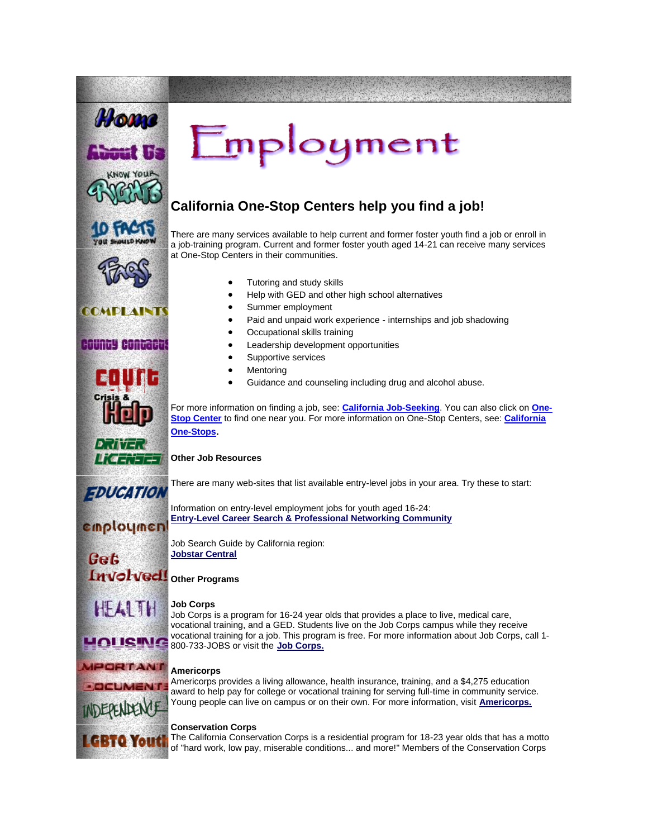

[T](http://www.fosteryouthhelp.ca.gov/LGBTQ.html)he California Conservation Corps is a residential program for 18-23 year olds that has a motto of "hard work, low pay, miserable conditions... and more!" Members of the Conservation Corps